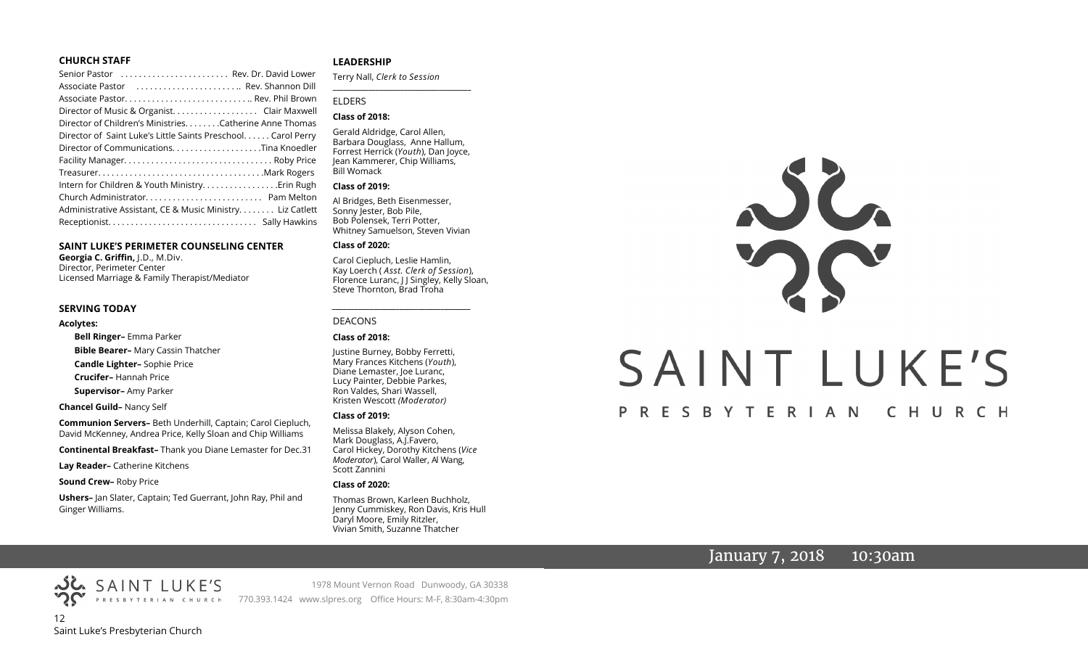#### **CHURCH STAFF**

| Senior Pastor  Rev. Dr. David Lower                          |  |
|--------------------------------------------------------------|--|
| Associate Pastor  Rev. Shannon Dill                          |  |
|                                                              |  |
|                                                              |  |
| Director of Children's Ministries. Catherine Anne Thomas     |  |
| Director of Saint Luke's Little Saints Preschool Carol Perry |  |
| Director of CommunicationsTina Knoedler                      |  |
|                                                              |  |
|                                                              |  |
| Intern for Children & Youth MinistryErin Rugh                |  |
|                                                              |  |
| Administrative Assistant, CE & Music Ministry Liz Catlett    |  |
|                                                              |  |
|                                                              |  |

#### **SAINT LUKE'S PERIMETER COUNSELING CENTER**

**Georgia C. Griffin,** J.D., M.Div. Director, Perimeter Center Licensed Marriage & Family Therapist/Mediator

#### **SERVING TODAY**

#### **Acolytes:**

**Bell Ringer–** Emma Parker **Bible Bearer–** Mary Cassin Thatcher **Candle Lighter–** Sophie Price

**Crucifer–** Hannah Price

**Supervisor–** Amy Parker

**Chancel Guild–** Nancy Self

**Communion Servers–** Beth Underhill, Captain; Carol Ciepluch, David McKenney, Andrea Price, Kelly Sloan and Chip Williams

**Continental Breakfast–** Thank you Diane Lemaster for Dec.31

**Lay Reader–** Catherine Kitchens

**Sound Crew–** Roby Price

**Ushers–** Jan Slater, Captain; Ted Guerrant, John Ray, Phil and Ginger Williams.

#### **LEADERSHIP**

Terry Nall, *Clerk to Session*  **\_\_\_\_\_\_\_\_\_\_\_\_\_\_\_\_\_\_\_\_\_\_\_\_\_\_\_\_\_\_\_\_\_\_\_\_\_\_\_**

#### ELDERS

#### **Class of 2018:**

Gerald Aldridge, Carol Allen, Barbara Douglass, Anne Hallum, Forrest Herrick (*Youth*), Dan Joyce, Jean Kammerer, Chip Williams, Bill Womack

#### **Class of 2019:**

Al Bridges, Beth Eisenmesser, Sonny Jester, Bob Pile, Bob Polensek, Terri Potter, Whitney Samuelson, Steven Vivian

#### **Class of 2020:**

Carol Ciepluch, Leslie Hamlin, Kay Loerch ( *Asst. Clerk of Session*), Florence Luranc, J J Singley, Kelly Sloan, Steve Thornton, Brad Troha

*\_\_\_\_\_\_\_\_\_\_\_\_\_\_\_\_\_\_\_\_\_\_\_\_\_\_\_\_\_\_\_\_\_\_\_\_\_*

#### DEACONS

#### **Class of 2018:**

Justine Burney, Bobby Ferretti, Mary Frances Kitchens (*Youth*), Diane Lemaster, Joe Luranc, Lucy Painter, Debbie Parkes, Ron Valdes, Shari Wassell, Kristen Wescott *(Moderator)*

#### **Class of 2019:**

Melissa Blakely, Alyson Cohen, Mark Douglass, A.J.Favero, Carol Hickey, Dorothy Kitchens (*Vice Moderator*), Carol Waller, Al Wang, Scott Zannini

#### **Class of 2020:**

Thomas Brown, Karleen Buchholz, Jenny Cummiskey, Ron Davis, Kris Hull Daryl Moore, Emily Ritzler, Vivian Smith, Suzanne Thatcher

# SC SAINT LUKE'S

# PRESBYTERIAN CHURCH

# January 7, 2018 10:30am

12 Saint Luke's Presbyterian Church

SAINT LUKE'S

1978 Mount Vernon Road Dunwoody, GA 30338 PRESBYTERIAN CHURCH 770.393.1424 www.slpres.org Office Hours: M-F, 8:30am-4:30pm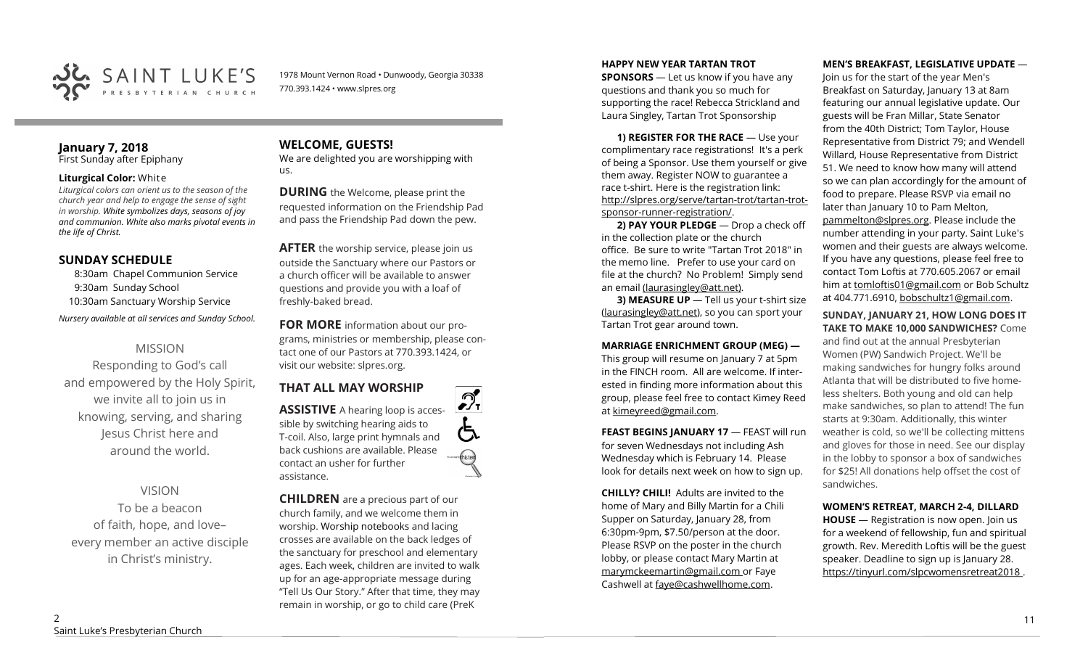

1978 Mount Vernon Road • Dunwoody, Georgia 30338 770.393.1424 • www.slpres.org

#### **January 7, 2018**  First Sunday after Epiphany

#### **Liturgical Color:** White

*Liturgical colors can orient us to the season of the church year and help to engage the sense of sight in worship. White symbolizes days, seasons of joy and communion. White also marks pivotal events in the life of Christ.* 

#### **SUNDAY SCHEDULE**

8:30am Chapel Communion Service 9:30am Sunday School 10:30am Sanctuary Worship Service *Nursery available at all services and Sunday School.* 

# MISSION

Responding to God's call and empowered by the Holy Spirit, we invite all to join us in knowing, serving, and sharing Jesus Christ here and around the world.

# VISION

To be a beacon of faith, hope, and love– every member an active disciple in Christ's ministry.

# **WELCOME, GUESTS!**

We are delighted you are worshipping with us.

**DURING** the Welcome, please print the requested information on the Friendship Pad and pass the Friendship Pad down the pew.

**AFTER** the worship service, please join us outside the Sanctuary where our Pastors or a church officer will be available to answer questions and provide you with a loaf of freshly-baked bread.

**FOR MORE** information about our programs, ministries or membership, please contact one of our Pastors at 770.393.1424, or visit our website: slpres.org.

 $\mathcal{D}_{\mathrm{r}}$ 

# **THAT ALL MAY WORSHIP**

**ASSISTIVE** A hearing loop is accessible by switching hearing aids to T-coil. Also, large print hymnals and back cushions are available. Please contact an usher for further assistance.

**CHILDREN** are a precious part of our church family, and we welcome them in worship. Worship notebooks and lacing crosses are available on the back ledges of the sanctuary for preschool and elementary ages. Each week, children are invited to walk up for an age-appropriate message during "Tell Us Our Story." After that time, they may remain in worship, or go to child care (PreK

#### **HAPPY NEW YEAR TARTAN TROT**

**SPONSORS** — Let us know if you have any questions and thank you so much for supporting the race! Rebecca Strickland and Laura Singley, Tartan Trot Sponsorship

**1) REGISTER FOR THE RACE** — Use your complimentary race registrations! It's a perk of being a Sponsor. Use them yourself or give them away. Register NOW to guarantee a race t-shirt. Here is the registration link: [http://slpres.org/serve/tartan](http://slpres.org/serve/tartan-trot/tartan-trot-sponsor-runner-registration/)-trot/tartan-trotsponsor-runner-[registration/.](http://slpres.org/serve/tartan-trot/tartan-trot-sponsor-runner-registration/)

**2) PAY YOUR PLEDGE** — Drop a check off in the collection plate or the church office. Be sure to write "Tartan Trot 2018" in the memo line. Prefer to use your card on file at the church? No Problem! Simply send an email [\(laurasingley@att.net\).](mailto:laurasingley@att.net)

**3) MEASURE UP** — Tell us your t-shirt size [\(laurasingley@att.net\),](mailto:laurasingley@att.net) so you can sport your Tartan Trot gear around town.

**MARRIAGE ENRICHMENT GROUP (MEG) —** This group will resume on January 7 at 5pm in the FINCH room. All are welcome. If interested in finding more information about this group, please feel free to contact Kimey Reed at kimeyreed@gmail.com.

**FEAST BEGINS JANUARY 17 - FEAST will run** for seven Wednesdays not including Ash Wednesday which is February 14. Please look for details next week on how to sign up.

**CHILLY? CHILI!** Adults are invited to the home of Mary and Billy Martin for a Chili Supper on Saturday, January 28, from 6:30pm-9pm, \$7.50/person at the door. Please RSVP on the poster in the church lobby, or please contact Mary Martin at marymckeemartin@gmail.com or Faye Cashwell at faye@cashwellhome.com.

#### **MEN'S BREAKFAST, LEGISLATIVE UPDATE** —

Join us for the start of the year Men's Breakfast on Saturday, January 13 at 8am featuring our annual legislative update. Our guests will be Fran Millar, State Senator from the 40th District; Tom Taylor, House Representative from District 79; and Wendell Willard, House Representative from District 51. We need to know how many will attend so we can plan accordingly for the amount of food to prepare. Please RSVP via email no later than [January 10](x-apple-data-detectors://5) to Pam Melton, pammelton@slpres.org. Please include the number attending in your party. Saint Luke's women and their guests are always welcome. If you have any questions, please feel free to contact Tom Loftis at 770.605.2067 or email him at [tomloftis01@gmail.com](mailto:tomloftis01@gmail.com) or Bob Schultz at 404.771.6910, [bobschultz1@gmail.com.](mailto:bobschultz1@gmail.com)

**SUNDAY, JANUARY 21, HOW LONG DOES IT TAKE TO MAKE 10,000 SANDWICHES?** Come

and find out at the annual Presbyterian Women (PW) Sandwich Project. We'll be making sandwiches for hungry folks around Atlanta that will be distributed to five homeless shelters. Both young and old can help make sandwiches, so plan to attend! The fun starts at 9:30am. Additionally, this winter weather is cold, so we'll be collecting mittens and gloves for those in need. See our display in the lobby to sponsor a box of sandwiches for \$25! All donations help offset the cost of sandwiches.

#### **WOMEN'S RETREAT, MARCH 2-4, DILLARD**

**HOUSE** — Registration is now open. Join us for a weekend of fellowship, fun and spiritual growth. Rev. Meredith Loftis will be the guest speaker. Deadline to sign up is January 28. https://tinyurl.com/slpcwomensretreat2018 .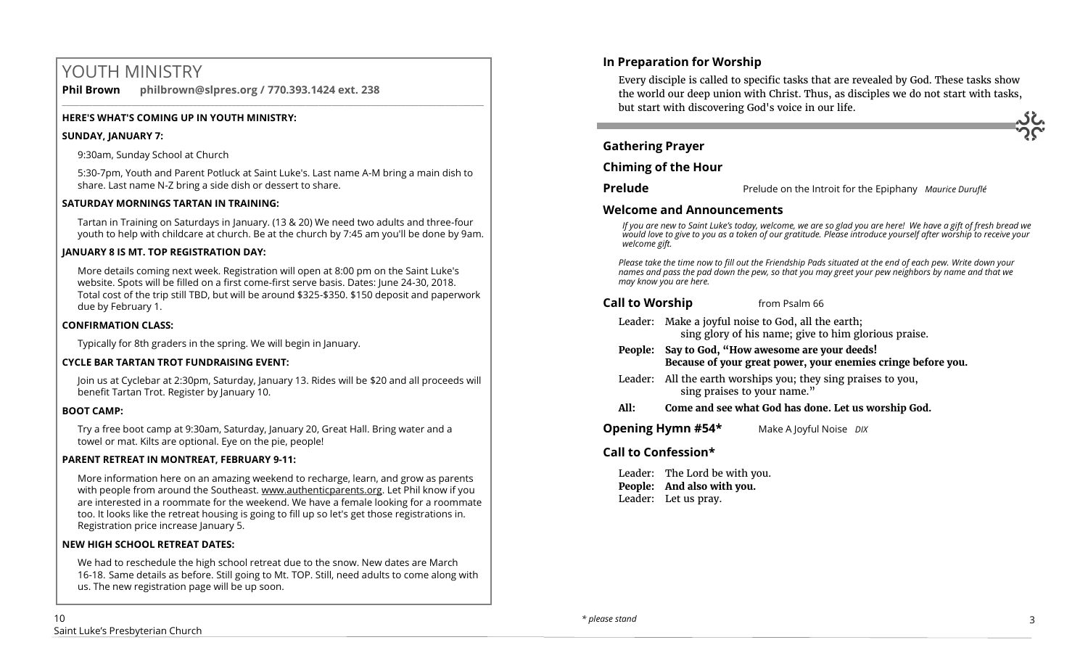# YOUTH MINISTRY

**Phil Brown philbrown@slpres.org / 770.393.1424 ext. 238**   $\_$  ,  $\_$  ,  $\_$  ,  $\_$  ,  $\_$  ,  $\_$  ,  $\_$  ,  $\_$  ,  $\_$  ,  $\_$  ,  $\_$  ,  $\_$  ,  $\_$  ,  $\_$  ,  $\_$  ,  $\_$  ,  $\_$  ,  $\_$  ,  $\_$  ,  $\_$  ,  $\_$  ,  $\_$  ,  $\_$  ,  $\_$  ,  $\_$  ,  $\_$  ,  $\_$  ,  $\_$  ,  $\_$  ,  $\_$  ,  $\_$  ,  $\_$  ,  $\_$  ,  $\_$  ,  $\_$  ,  $\_$  ,  $\_$  ,

#### **HERE'S WHAT'S COMING UP IN YOUTH MINISTRY:**

#### **SUNDAY, JANUARY 7:**

9:30am, Sunday School at Church

5:30-7pm, Youth and Parent Potluck at Saint Luke's. Last name A-M bring a main dish to share. Last name N-Z bring a side dish or dessert to share.

#### **SATURDAY MORNINGS TARTAN IN TRAINING:**

Tartan in Training on Saturdays in January. (13 & 20) We need two adults and three-four youth to help with childcare at church. Be at the church by 7:45 am you'll be done by 9am.

#### **JANUARY 8 IS MT. TOP REGISTRATION DAY:**

More details coming next week. Registration will open at 8:00 pm on the Saint Luke's website. Spots will be filled on a first come-first serve basis. Dates: June 24-30, 2018. Total cost of the trip still TBD, but will be around \$325-\$350. \$150 deposit and paperwork due by February 1.

#### **CONFIRMATION CLASS:**

Typically for 8th graders in the spring. We will begin in January.

#### **CYCLE BAR TARTAN TROT FUNDRAISING EVENT:**

Join us at Cyclebar at 2:30pm, Saturday, January 13. Rides will be \$20 and all proceeds will benefit Tartan Trot. Register by January 10.

#### **BOOT CAMP:**

Try a free boot camp at 9:30am, Saturday, January 20, Great Hall. Bring water and a towel or mat. Kilts are optional. Eye on the pie, people!

#### **PARENT RETREAT IN MONTREAT, FEBRUARY 9-11:**

[More information here](https://www.authenticparents.org/) on an amazing weekend to recharge, learn, and grow as parents with people from around the Southeast. [www.authenticparents.org.](http://www.authenticparents.org/) Let Phil know if you are interested in a roommate for the weekend. We have a female looking for a roommate too. It looks like the retreat housing is going to fill up so let's get those registrations in. Registration price increase January 5.

#### **NEW HIGH SCHOOL RETREAT DATES:**

We had to reschedule the high school retreat due to the snow. New dates are March 16-18. Same details as before. Still going to Mt. TOP. Still, need adults to come along with us. The new registration page will be up soon.



*If you are new to Saint Luke's today, welcome, we are so glad you are here! We have a gift of fresh bread we would love to give to you as a token of our gratitude. Please introduce yourself after worship to receive your welcome gift.*

*Please take the time now to fill out the Friendship Pads situated at the end of each pew. Write down your names and pass the pad down the pew, so that you may greet your pew neighbors by name and that we may know you are here.*

#### **Call to Worship** from Psalm 66

- Leader: Make a joyful noise to God, all the earth; sing glory of his name; give to him glorious praise.
- **People: Say to God, "How awesome are your deeds! Because of your great power, your enemies cringe before you.**
- Leader: All the earth worships you; they sing praises to you, sing praises to your name."
- **All: Come and see what God has done. Let us worship God.**

**Opening Hymn #54\*** Make A Joyful Noise *DIX* 

## **Call to Confession\***

Leader: The Lord be with you. **People: And also with you.** Leader: Let us pray.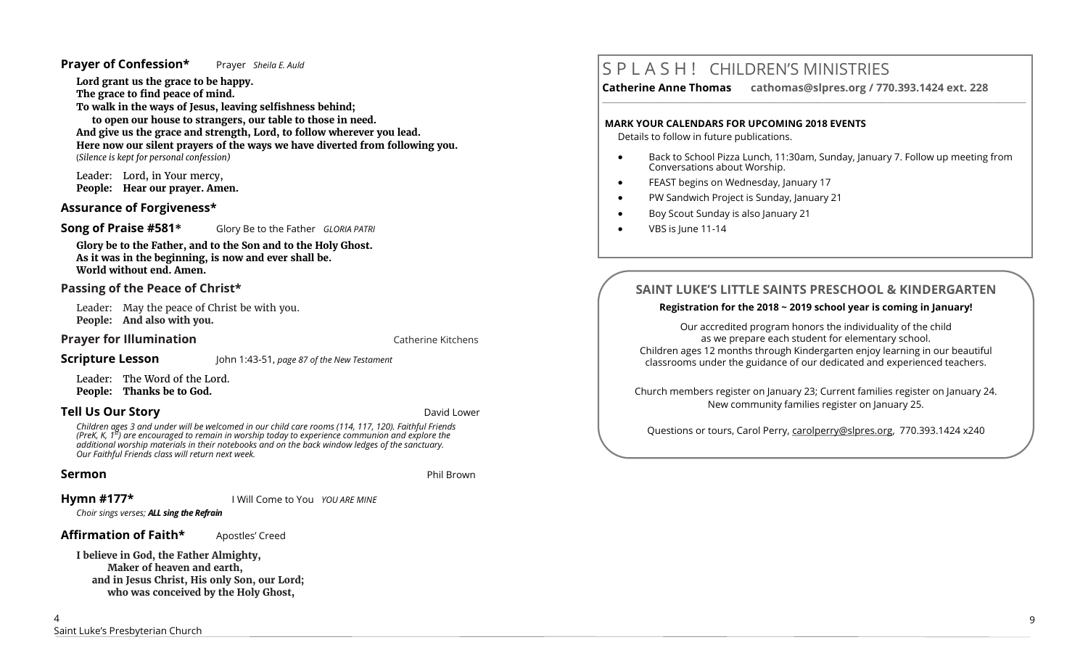#### **Prayer of Confession\*** Prayer *Sheila E. Auld*

**Lord grant us the grace to be happy.** 

**The grace to find peace of mind.** 

**To walk in the ways of Jesus, leaving selfishness behind;** 

**to open our house to strangers, our table to those in need. And give us the grace and strength, Lord, to follow wherever you lead. Here now our silent prayers of the ways we have diverted from following you.** (*Silence is kept for personal confession)* 

Leader: Lord, in Your mercy, **People: Hear our prayer. Amen.**

#### **Assurance of Forgiveness\***

#### **Song of Praise #581\*** Glory Be to the Father *GLORIA PATRI*

**Glory be to the Father, and to the Son and to the Holy Ghost. As it was in the beginning, is now and ever shall be. World without end. Amen.** 

#### **Passing of the Peace of Christ\***

Leader: May the peace of Christ be with you. **People: And also with you.**

#### **Prayer for Illumination Catherine Kitchens Catherine Kitchens**

**Scripture Lesson** John 1:43-51, *page 87 of the New Testament* 

Leader: The Word of the Lord. **People: Thanks be to God.**

#### **Tell Us Our Story Community Community Community Community Community Community Community Community Community Community Community Community Community Community Community Community Community Community Community Community Com**

*Children ages 3 and under will be welcomed in our child care rooms (114, 117, 120). Faithful Friends (PreK, K, 1st) are encouraged to remain in worship today to experience communion and explore the additional worship materials in their notebooks and on the back window ledges of the sanctuary. Our Faithful Friends class will return next week.*

**Sermon** Phil Brown

#### **Hymn #177\*** I Will Come to You *YOU ARE MINE*

*Choir sings verses; ALL sing the Refrain*

**Affirmation of Faith\*** Apostles' Creed

**I believe in God, the Father Almighty, Maker of heaven and earth, and in Jesus Christ, His only Son, our Lord; who was conceived by the Holy Ghost,** 

# S P L A S H ! CHILDREN'S MINISTRIES

**Catherine Anne Thomas cathomas@slpres.org / 770.393.1424 ext. 228** 

#### **MARK YOUR CALENDARS FOR UPCOMING 2018 EVENTS**

Details to follow in future publications.

 Back to School Pizza Lunch, 11:30am, Sunday, January 7. Follow up meeting from Conversations about Worship.

**\_\_\_\_\_\_\_\_\_\_\_\_\_\_\_\_\_\_\_\_\_\_\_\_\_\_\_\_\_\_\_\_\_\_\_\_\_\_\_\_\_\_\_\_\_\_\_\_\_\_\_\_\_\_\_\_\_\_\_\_\_\_\_\_\_\_\_\_\_\_\_\_\_\_\_\_\_\_\_\_\_\_\_\_\_\_\_\_\_\_\_\_\_\_\_\_\_\_\_\_\_\_\_\_\_\_** 

- FEAST begins on Wednesday, January 17
- PW Sandwich Project is Sunday, January 21
- Boy Scout Sunday is also January 21
- VBS is June 11-14

# **SAINT LUKE'S LITTLE SAINTS PRESCHOOL & KINDERGARTEN**

#### **Registration for the 2018 ~ 2019 school year is coming in January!**

Our accredited program honors the individuality of the child as we prepare each student for elementary school. Children ages 12 months through Kindergarten enjoy learning in our beautiful classrooms under the guidance of our dedicated and experienced teachers.

Church members register on January 23; Current families register on January 24. New community families register on January 25.

Questions or tours, Carol Perry, carolperry@slpres.org, 770.393.1424 x240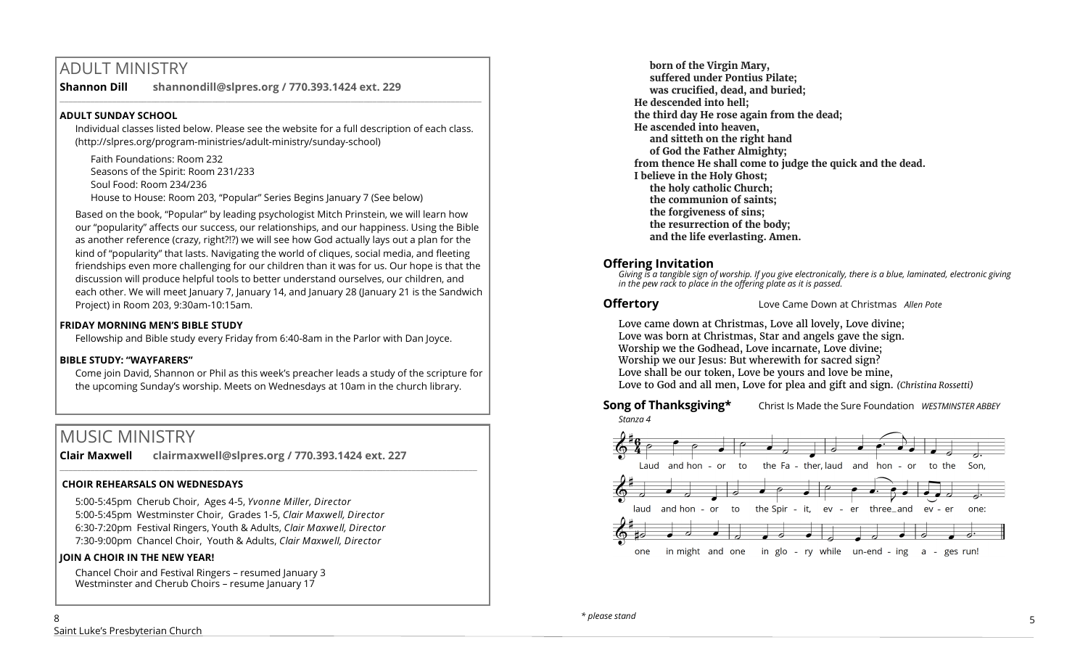# ADULT MINISTRY

**Shannon Dill shannondill@slpres.org / 770.393.1424 ext. 229** 

## **ADULT SUNDAY SCHOOL**

Individual classes listed below. Please see the website for a full description of each class. (http://slpres.org/program-ministries/adult-ministry/sunday-school)

 $\_$  ,  $\_$  ,  $\_$  ,  $\_$  ,  $\_$  ,  $\_$  ,  $\_$  ,  $\_$  ,  $\_$  ,  $\_$  ,  $\_$  ,  $\_$  ,  $\_$  ,  $\_$  ,  $\_$  ,  $\_$  ,  $\_$  ,  $\_$  ,  $\_$  ,  $\_$ 

Faith Foundations: Room 232 Seasons of the Spirit: Room 231/233 Soul Food: Room 234/236 House to House: Room 203, "Popular" Series Begins January 7 (See below)

Based on the book, "Popular" by leading psychologist Mitch Prinstein, we will learn how our "popularity" affects our success, our relationships, and our happiness. Using the Bible as another reference (crazy, right?!?) we will see how God actually lays out a plan for the kind of "popularity" that lasts. Navigating the world of cliques, social media, and fleeting friendships even more challenging for our children than it was for us. Our hope is that the discussion will produce helpful tools to better understand ourselves, our children, and each other. We will meet January 7, January 14, and January 28 (January 21 is the Sandwich Project) in Room 203, 9:30am-10:15am.

#### **FRIDAY MORNING MEN'S BIBLE STUDY**

Fellowship and Bible study every Friday from 6:40-8am in the Parlor with Dan Joyce.

#### **BIBLE STUDY: "WAYFARERS"**

Come join David, Shannon or Phil as this week's preacher leads a study of the scripture for the upcoming Sunday's worship. Meets on Wednesdays at 10am in the church library.

 $\_$  ,  $\_$  ,  $\_$  ,  $\_$  ,  $\_$  ,  $\_$  ,  $\_$  ,  $\_$  ,  $\_$  ,  $\_$  ,  $\_$  ,  $\_$  ,  $\_$  ,  $\_$  ,  $\_$  ,  $\_$  ,  $\_$  ,  $\_$  ,  $\_$ 

# MUSIC MINISTRY

**Clair Maxwell clairmaxwell@slpres.org / 770.393.1424 ext. 227** 

## **CHOIR REHEARSALS ON WEDNESDAYS**

5:00-5:45pm Cherub Choir, Ages 4-5, *Yvonne Miller, Director*  5:00-5:45pm Westminster Choir, Grades 1-5, *Clair Maxwell, Director*  6:30-7:20pm Festival Ringers, Youth & Adults, *Clair Maxwell, Director*  7:30-9:00pm Chancel Choir, Youth & Adults, *Clair Maxwell, Director* 

#### **JOIN A CHOIR IN THE NEW YEAR!**

Chancel Choir and Festival Ringers – resumed January 3 Westminster and Cherub Choirs – resume January 17

**born of the Virgin Mary, suffered under Pontius Pilate; was crucified, dead, and buried; He descended into hell; the third day He rose again from the dead; He ascended into heaven, and sitteth on the right hand of God the Father Almighty; from thence He shall come to judge the quick and the dead. I believe in the Holy Ghost; the holy catholic Church; the communion of saints; the forgiveness of sins; the resurrection of the body; and the life everlasting. Amen.**

## **Offering Invitation**

*Giving is a tangible sign of worship. If you give electronically, there is a blue, laminated, electronic giving in the pew rack to place in the offering plate as it is passed.*

**Offertory** Love Came Down at Christmas *Allen Pote*

Love came down at Christmas, Love all lovely, Love divine; Love was born at Christmas, Star and angels gave the sign. Worship we the Godhead, Love incarnate, Love divine; Worship we our Jesus: But wherewith for sacred sign? Love shall be our token, Love be yours and love be mine, Love to God and all men, Love for plea and gift and sign. *(Christina Rossetti)*

## **Song of Thanksgiving\*** Christ Is Made the Sure Foundation *WESTMINSTER ABBEY Stanza 4*



*\* please stand*